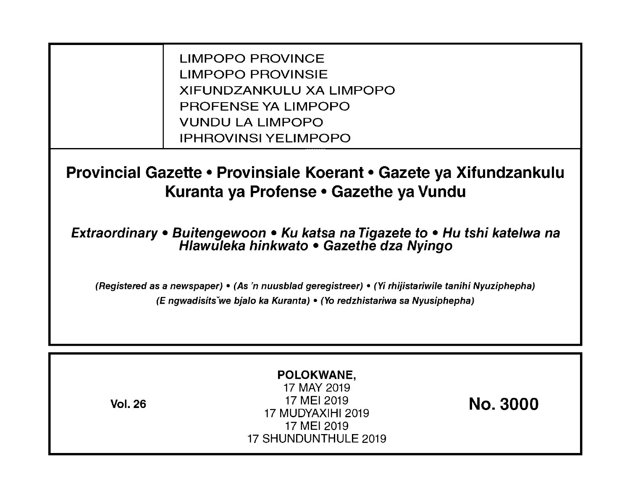LIMPOPO PROVINCE LIMPOPO PROVINSIE XIFUNDZANKULU XA LIMPOPO PROFENSE YA LIMPOPO VUNDU LA LIMPOPO IPHROVINSI YELIMPOPO

**Provincial Gazette • Provinsiale Koerant • Gazete ya Xifundzankulu Kuranta ya Profense • Gazethe ya Vundu** 

**Extraordinary • Buitengewoon • Ku katsa na Tigazete to • Hu tshi katelwa na Hlawuleka hinkwato • Gazethe dza Nyingo** 

(Registered as a newspaper) • (As 'n nuusblad geregistreer) • (Yi rhijistariwile tanihi Nyuziphepha) (E ngwadisitsVwe bjalo ka Kuranta) • (Yo redzhistariwa sa Nyusiphepha)

| POLOKWANE,<br>17 MAY 2019<br>17 MEI 2019<br><b>Vol. 26</b><br>17 MUDYAXIHI 2019<br>17 MEI 2019<br>17 SHUNDUNTHULE 2019 | <b>No. 3000</b> |
|------------------------------------------------------------------------------------------------------------------------|-----------------|
|------------------------------------------------------------------------------------------------------------------------|-----------------|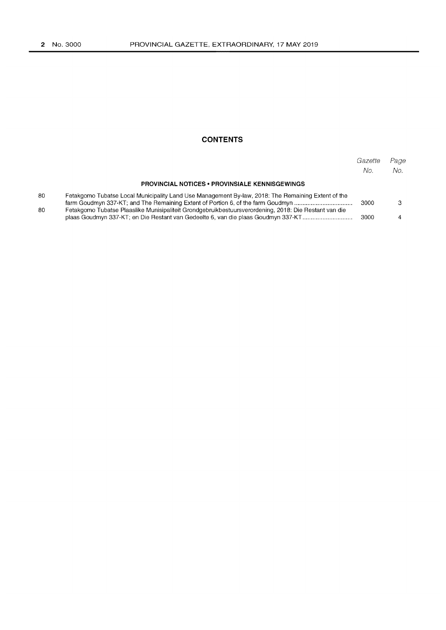# **CONTENTS**

|    |                                                                                                                                                                                            | Gazette<br>No. | Page<br>No. |
|----|--------------------------------------------------------------------------------------------------------------------------------------------------------------------------------------------|----------------|-------------|
|    | <b>PROVINCIAL NOTICES • PROVINSIALE KENNISGEWINGS</b>                                                                                                                                      |                |             |
| 80 | Fetakgomo Tubatse Local Municipality Land Use Management By-law, 2018: The Remaining Extent of the<br>farm Goudmyn 337-KT; and The Remaining Extent of Portion 6, of the farm Goudmyn      | 3000           |             |
| 80 | Fetakgomo Tubatse Plaaslike Munisipaliteit Grondgebruikbestuursverordening, 2018: Die Restant van die<br>plaas Goudmyn 337-KT; en Die Restant van Gedeelte 6, van die plaas Goudmyn 337-KT | 3000           |             |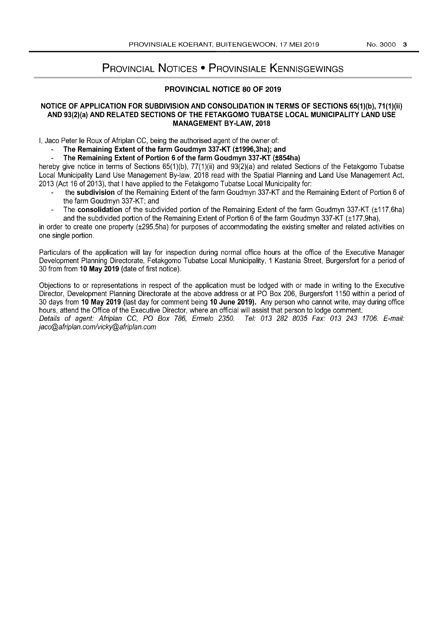# PROVINCIAL NOTICES • PROVINSIALE KENNISGEWINGS

## PROVINCIAL NOTICE 80 OF 2019

### NOTICE OF APPLICATION FOR SUBDIVISION AND CONSOLIDATION IN TERMS OF SECTIONS 65(1)(b), 71(1)(ii) AND 93(2)(a) AND RELATED SECTIONS OF THE FETAKGOMO TUBATSE LOCAL MUNICIPALITY LAND USE MANAGEMENT BY-LAW, 2018

I, Jaco Peter Ie Roux of Afriplan CC, being the authorised agent of the owner of:

# The Remaining Extent of the farm Goudmyn 337-KT (±1996,3ha); and

The Remaining Extent of Portion 6 of the farm Goudmyn 337-KT (±854ha)

hereby give notice in terms of Sections 65(1)(b), 77(1)(ii) and 93(2)(a) and related Sections of the Fetakgomo Tubatse Local Municipality Land Use Management By-law, 2018 read with the Spatial Planning and Land Use Management Act, 2013 (Act 16 of 2013), that I have applied to the Fetakgomo Tubatse Local Municipality for:

- the subdivision of the Remaining Extent of the farm Goudmyn 337-KT and the Remaining Extent of Portion 6 of the farm Goudmyn 337-KT; and
- The consolidation of the subdivided portion of the Remaining Extent of the farm Goudmyn 337-KT (±117,6ha) and the subdivided portion of the Remaining Extent of Portion 6 of the farm Goudmyn 337-KT (±177,9ha),

in order to create one property (±295,5ha) for purposes of accommodating the existing smelter and related activities on one single portion.

Particulars of the application will lay for inspection during normal office hours at the office of the Executive Manager Development Planning Directorate, Fetakgomo Tubatse Local Municipality, 1 Kastania Street, Burgersfort for a period of 30 from from 10 May 2019 (date of first notice).

Objections to or representations in respect of the application must be lodged with or made in writing to the Executive Director, Development Planning Directorate at the above address or at PO Box 206, Burgersfort 1150 within a period of 30 days from 10 May 2019 (last day for comment being 10 June 2019). Any person who cannot write, may during office hours, attend the Office of the Executive Director, where an official will assist that person to lodge comment. Details of agent: Afriplan CC, PO Box 786, Ermelo 2350. Tel: 013 282 8035 Fax: 013 243 1706. E-mail: jaco@afriplan.comlvicky@afriplan.com